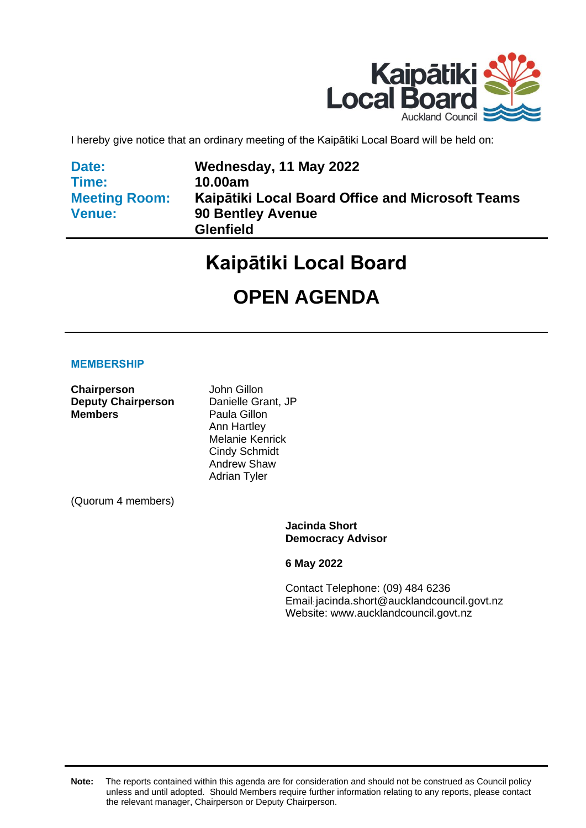

I hereby give notice that an ordinary meeting of the Kaipātiki Local Board will be held on:

| Date:                |  |
|----------------------|--|
| Time:                |  |
| <b>Meeting Room:</b> |  |
| <b>Venue:</b>        |  |

**Wednesday, 11 May 2022 10.00am Kaipātiki Local Board Office and Microsoft Teams 90 Bentley Avenue Glenfield**

# **Kaipātiki Local Board**

# **OPEN AGENDA**

#### **MEMBERSHIP**

**Chairperson** John Gillon **Deputy Chairperson** Danielle Grant, JP **Members** Paula Gillon

Ann Hartley Melanie Kenrick Cindy Schmidt Andrew Shaw Adrian Tyler

(Quorum 4 members)

**Jacinda Short Democracy Advisor**

**6 May 2022**

Contact Telephone: (09) 484 6236 Email: jacinda.short@aucklandcouncil.govt.nz Website: www.aucklandcouncil.govt.nz

**Note:** The reports contained within this agenda are for consideration and should not be construed as Council policy unless and until adopted. Should Members require further information relating to any reports, please contact the relevant manager, Chairperson or Deputy Chairperson.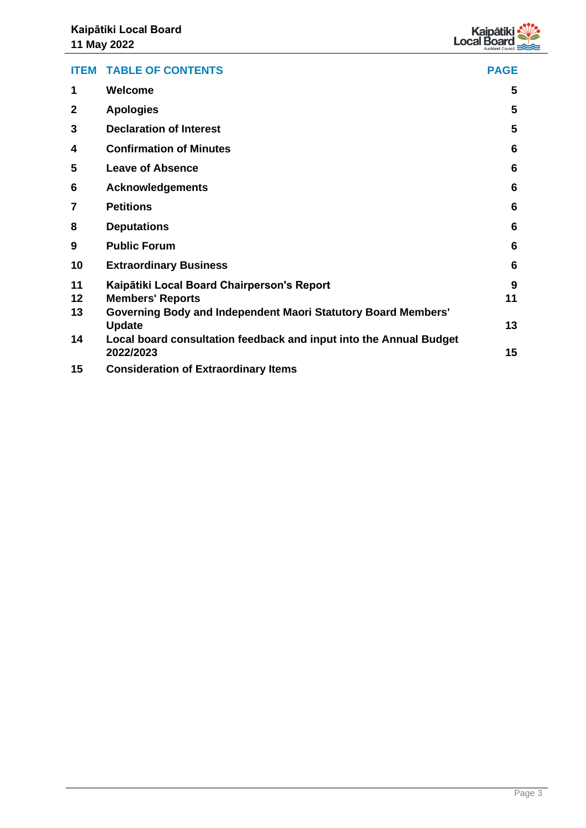

|              | <b>ITEM TABLE OF CONTENTS</b>                                        | <b>PAGE</b> |
|--------------|----------------------------------------------------------------------|-------------|
| 1            | Welcome                                                              | 5           |
| $\mathbf{2}$ | <b>Apologies</b>                                                     | 5           |
| 3            | <b>Declaration of Interest</b>                                       | 5           |
| 4            | <b>Confirmation of Minutes</b>                                       | 6           |
| 5            | <b>Leave of Absence</b>                                              | 6           |
| 6            | <b>Acknowledgements</b>                                              | 6           |
| 7            | <b>Petitions</b>                                                     | 6           |
| 8            | <b>Deputations</b>                                                   | 6           |
| 9            | <b>Public Forum</b>                                                  | 6           |
| 10           | <b>Extraordinary Business</b>                                        | 6           |
| 11           | Kaipātiki Local Board Chairperson's Report                           | 9           |
| 12           | <b>Members' Reports</b>                                              | 11          |
| 13           | <b>Governing Body and Independent Maori Statutory Board Members'</b> |             |
|              | <b>Update</b>                                                        | 13          |
| 14           | Local board consultation feedback and input into the Annual Budget   |             |
|              | 2022/2023                                                            | 15          |
| 15           | <b>Consideration of Extraordinary Items</b>                          |             |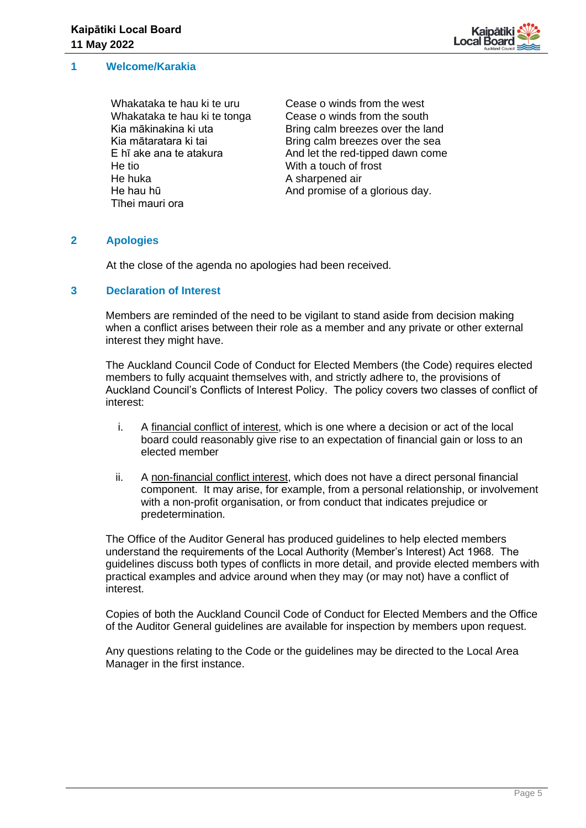

#### <span id="page-4-0"></span>**1 Welcome/Karakia**

Whakataka te hau ki te uru Whakataka te hau ki te tonga Kia mākinakina ki uta Kia mātaratara ki tai E hī ake ana te atakura He tio He huka He hau hū Tīhei mauri ora

Cease o winds from the west Cease o winds from the south Bring calm breezes over the land Bring calm breezes over the sea And let the red-tipped dawn come With a touch of frost A sharpened air And promise of a glorious day.

#### <span id="page-4-1"></span>**2 Apologies**

At the close of the agenda no apologies had been received.

#### <span id="page-4-2"></span>**3 Declaration of Interest**

Members are reminded of the need to be vigilant to stand aside from decision making when a conflict arises between their role as a member and any private or other external interest they might have.

The Auckland Council Code of Conduct for Elected Members (the Code) requires elected members to fully acquaint themselves with, and strictly adhere to, the provisions of Auckland Council's Conflicts of Interest Policy. The policy covers two classes of conflict of interest:

- i. A financial conflict of interest, which is one where a decision or act of the local board could reasonably give rise to an expectation of financial gain or loss to an elected member
- ii. A non-financial conflict interest, which does not have a direct personal financial component. It may arise, for example, from a personal relationship, or involvement with a non-profit organisation, or from conduct that indicates prejudice or predetermination.

The Office of the Auditor General has produced guidelines to help elected members understand the requirements of the Local Authority (Member's Interest) Act 1968. The guidelines discuss both types of conflicts in more detail, and provide elected members with practical examples and advice around when they may (or may not) have a conflict of interest.

Copies of both the Auckland Council Code of Conduct for Elected Members and the Office of the Auditor General guidelines are available for inspection by members upon request.

Any questions relating to the Code or the guidelines may be directed to the Local Area Manager in the first instance.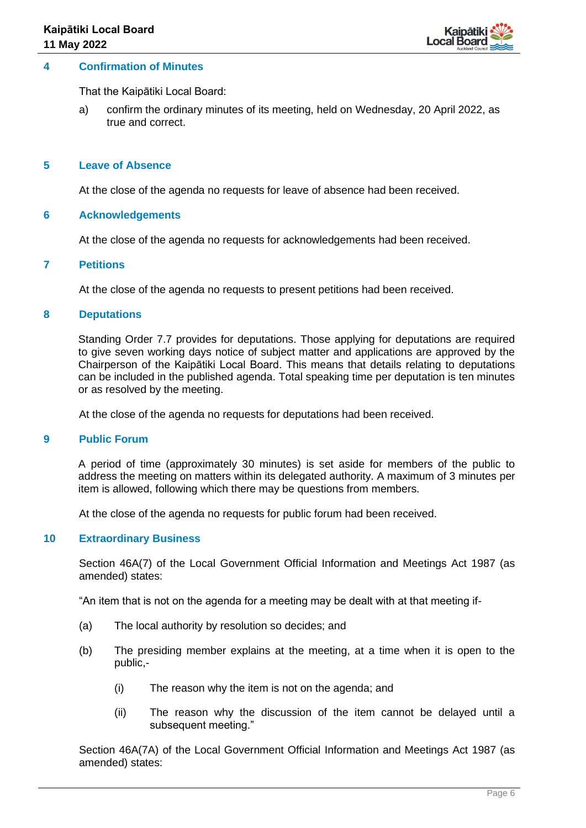

#### <span id="page-5-0"></span>**4 Confirmation of Minutes**

That the Kaipātiki Local Board:

a) confirm the ordinary minutes of its meeting, held on Wednesday, 20 April 2022, as true and correct.

#### <span id="page-5-1"></span>**5 Leave of Absence**

At the close of the agenda no requests for leave of absence had been received.

#### <span id="page-5-2"></span>**6 Acknowledgements**

At the close of the agenda no requests for acknowledgements had been received.

#### <span id="page-5-3"></span>**7 Petitions**

At the close of the agenda no requests to present petitions had been received.

#### <span id="page-5-4"></span>**8 Deputations**

Standing Order 7.7 provides for deputations. Those applying for deputations are required to give seven working days notice of subject matter and applications are approved by the Chairperson of the Kaipātiki Local Board. This means that details relating to deputations can be included in the published agenda. Total speaking time per deputation is ten minutes or as resolved by the meeting.

At the close of the agenda no requests for deputations had been received.

#### <span id="page-5-5"></span>**9 Public Forum**

A period of time (approximately 30 minutes) is set aside for members of the public to address the meeting on matters within its delegated authority. A maximum of 3 minutes per item is allowed, following which there may be questions from members.

At the close of the agenda no requests for public forum had been received.

#### <span id="page-5-6"></span>**10 Extraordinary Business**

Section 46A(7) of the Local Government Official Information and Meetings Act 1987 (as amended) states:

"An item that is not on the agenda for a meeting may be dealt with at that meeting if-

- (a) The local authority by resolution so decides; and
- (b) The presiding member explains at the meeting, at a time when it is open to the public,-
	- (i) The reason why the item is not on the agenda; and
	- (ii) The reason why the discussion of the item cannot be delayed until a subsequent meeting."

Section 46A(7A) of the Local Government Official Information and Meetings Act 1987 (as amended) states: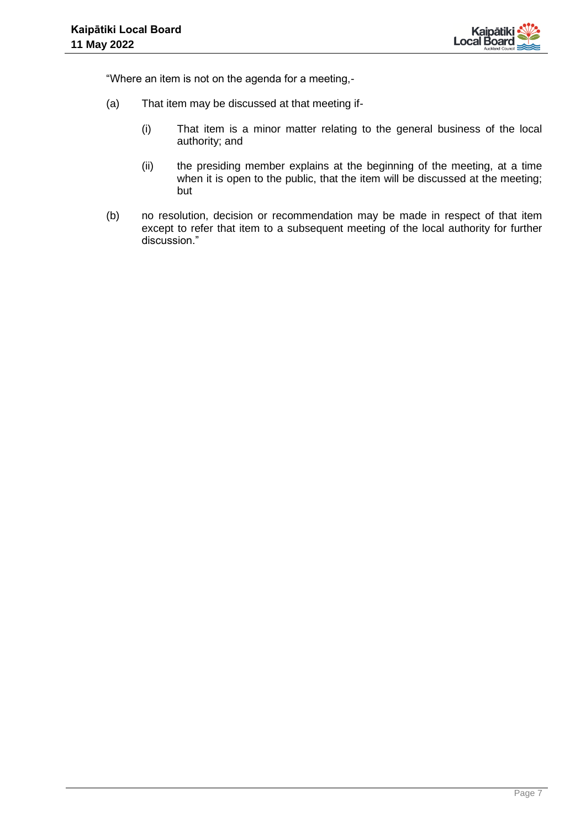

"Where an item is not on the agenda for a meeting,-

- (a) That item may be discussed at that meeting if-
	- (i) That item is a minor matter relating to the general business of the local authority; and
	- (ii) the presiding member explains at the beginning of the meeting, at a time when it is open to the public, that the item will be discussed at the meeting; but
- (b) no resolution, decision or recommendation may be made in respect of that item except to refer that item to a subsequent meeting of the local authority for further discussion."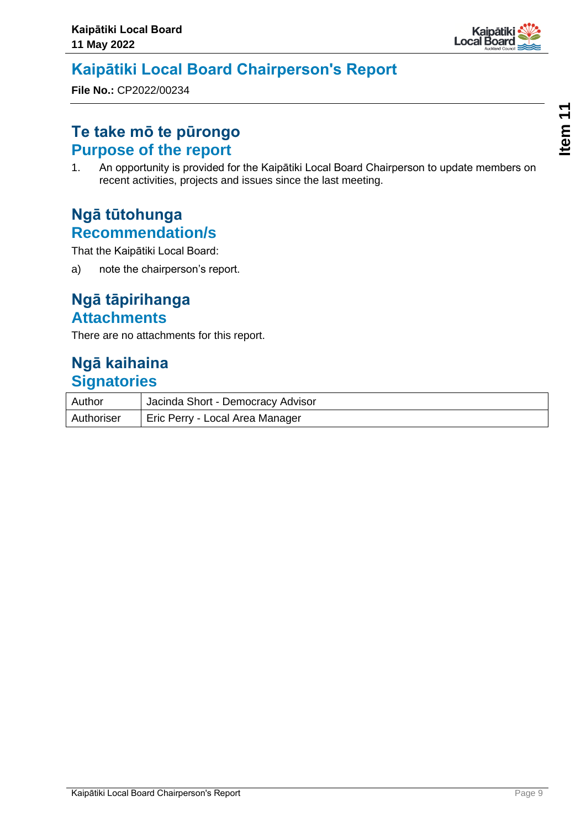

## <span id="page-8-0"></span>**Kaipātiki Local Board Chairperson's Report**

**File No.:** CP2022/00234

### **Te take mō te pūrongo Purpose of the report**

1. An opportunity is provided for the Kaipātiki Local Board Chairperson to update members on recent activities, projects and issues since the last meeting.

### **Ngā tūtohunga Recommendation/s**

That the Kaipātiki Local Board:

a) note the chairperson's report.

### **Ngā tāpirihanga Attachments**

There are no attachments for this report.

### **Ngā kaihaina Signatories**

| Author     | Jacinda Short - Democracy Advisor |
|------------|-----------------------------------|
| Authoriser | Eric Perry - Local Area Manager   |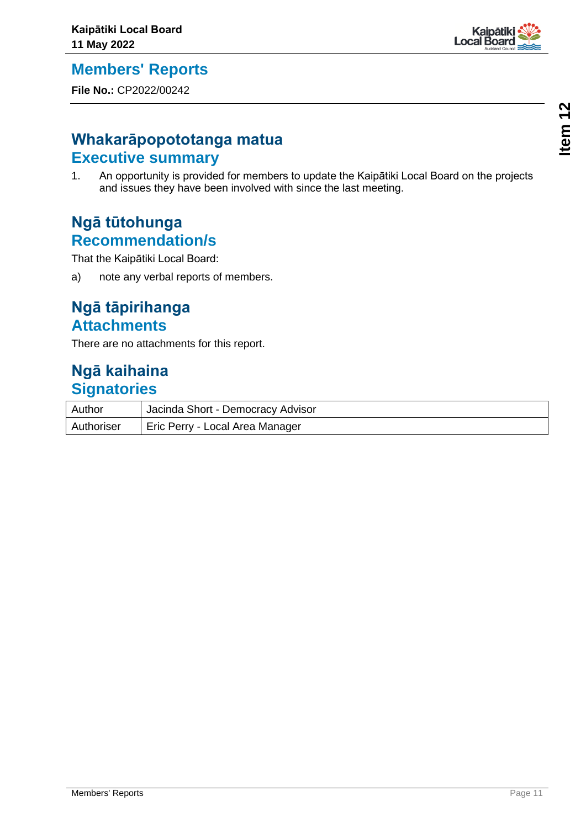<span id="page-10-0"></span>

**File No.:** CP2022/00242

### **Whakarāpopototanga matua Executive summary**

1. An opportunity is provided for members to update the Kaipātiki Local Board on the projects and issues they have been involved with since the last meeting.

### **Ngā tūtohunga Recommendation/s**

That the Kaipātiki Local Board:

a) note any verbal reports of members.

### **Ngā tāpirihanga Attachments**

There are no attachments for this report.

### **Ngā kaihaina Signatories**

| Author     | Jacinda Short - Democracy Advisor |
|------------|-----------------------------------|
| Authoriser | Eric Perry - Local Area Manager   |

Kaipātik<br>Local Board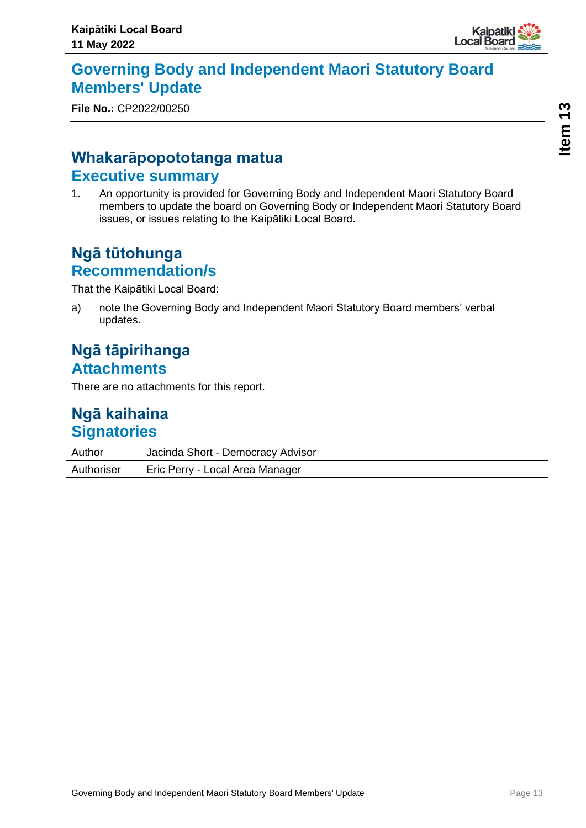

### <span id="page-12-0"></span>**Governing Body and Independent Maori Statutory Board Members' Update**

**File No.:** CP2022/00250

### **Whakarāpopototanga matua Executive summary**

1. An opportunity is provided for Governing Body and Independent Maori Statutory Board members to update the board on Governing Body or Independent Maori Statutory Board issues, or issues relating to the Kaipātiki Local Board.

### **Ngā tūtohunga Recommendation/s**

That the Kaipātiki Local Board:

a) note the Governing Body and Independent Maori Statutory Board members' verbal updates.

### **Ngā tāpirihanga Attachments**

There are no attachments for this report.

### **Ngā kaihaina Signatories**

| Author     | Jacinda Short - Democracy Advisor |
|------------|-----------------------------------|
| Authoriser | Eric Perry - Local Area Manager   |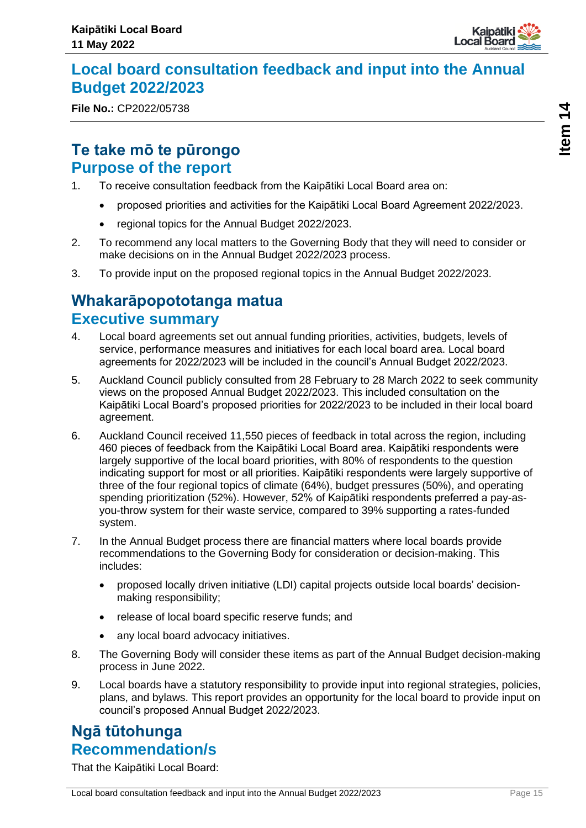

### <span id="page-14-0"></span>**Local board consultation feedback and input into the Annual Budget 2022/2023**

**File No.:** CP2022/05738

**Item 14**

### **Te take mō te pūrongo Purpose of the report**

- 1. To receive consultation feedback from the Kaipātiki Local Board area on:
	- proposed priorities and activities for the Kaipātiki Local Board Agreement 2022/2023.
	- regional topics for the Annual Budget 2022/2023.
- 2. To recommend any local matters to the Governing Body that they will need to consider or make decisions on in the Annual Budget 2022/2023 process.
- 3. To provide input on the proposed regional topics in the Annual Budget 2022/2023.

### **Whakarāpopototanga matua Executive summary**

- 4. Local board agreements set out annual funding priorities, activities, budgets, levels of service, performance measures and initiatives for each local board area. Local board agreements for 2022/2023 will be included in the council's Annual Budget 2022/2023.
- 5. Auckland Council publicly consulted from 28 February to 28 March 2022 to seek community views on the proposed Annual Budget 2022/2023. This included consultation on the Kaipātiki Local Board's proposed priorities for 2022/2023 to be included in their local board agreement.
- 6. Auckland Council received 11,550 pieces of feedback in total across the region, including 460 pieces of feedback from the Kaipātiki Local Board area. Kaipātiki respondents were largely supportive of the local board priorities, with 80% of respondents to the question indicating support for most or all priorities. Kaipātiki respondents were largely supportive of three of the four regional topics of climate (64%), budget pressures (50%), and operating spending prioritization (52%). However, 52% of Kaipātiki respondents preferred a pay-asyou-throw system for their waste service, compared to 39% supporting a rates-funded system.
- 7. In the Annual Budget process there are financial matters where local boards provide recommendations to the Governing Body for consideration or decision-making. This includes:
	- proposed locally driven initiative (LDI) capital projects outside local boards' decisionmaking responsibility;
	- release of local board specific reserve funds; and
	- any local board advocacy initiatives.
- 8. The Governing Body will consider these items as part of the Annual Budget decision-making process in June 2022.
- 9. Local boards have a statutory responsibility to provide input into regional strategies, policies, plans, and bylaws. This report provides an opportunity for the local board to provide input on council's proposed Annual Budget 2022/2023.

### **Ngā tūtohunga Recommendation/s**

That the Kaipātiki Local Board: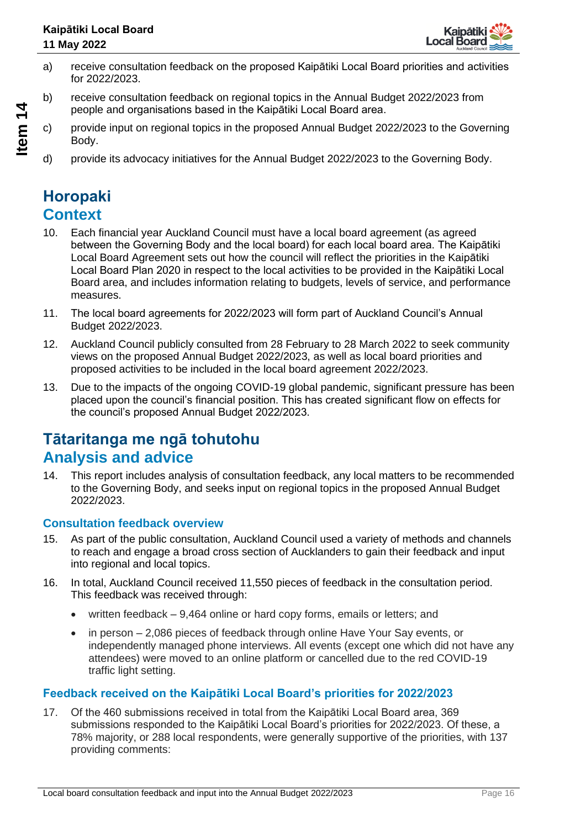

- a) receive consultation feedback on the proposed Kaipātiki Local Board priorities and activities for 2022/2023.
- b) receive consultation feedback on regional topics in the Annual Budget 2022/2023 from people and organisations based in the Kaipātiki Local Board area.
- c) provide input on regional topics in the proposed Annual Budget 2022/2023 to the Governing Body.
- d) provide its advocacy initiatives for the Annual Budget 2022/2023 to the Governing Body.

### **Horopaki Context**

- 10. Each financial year Auckland Council must have a local board agreement (as agreed between the Governing Body and the local board) for each local board area. The Kaipātiki Local Board Agreement sets out how the council will reflect the priorities in the Kaipātiki Local Board Plan 2020 in respect to the local activities to be provided in the Kaipātiki Local Board area, and includes information relating to budgets, levels of service, and performance measures.
- 11. The local board agreements for 2022/2023 will form part of Auckland Council's Annual Budget 2022/2023.
- 12. Auckland Council publicly consulted from 28 February to 28 March 2022 to seek community views on the proposed Annual Budget 2022/2023, as well as local board priorities and proposed activities to be included in the local board agreement 2022/2023.
- 13. Due to the impacts of the ongoing COVID-19 global pandemic, significant pressure has been placed upon the council's financial position. This has created significant flow on effects for the council's proposed Annual Budget 2022/2023.

## **Tātaritanga me ngā tohutohu Analysis and advice**

14. This report includes analysis of consultation feedback, any local matters to be recommended to the Governing Body, and seeks input on regional topics in the proposed Annual Budget 2022/2023.

#### **Consultation feedback overview**

- 15. As part of the public consultation, Auckland Council used a variety of methods and channels to reach and engage a broad cross section of Aucklanders to gain their feedback and input into regional and local topics.
- 16. In total, Auckland Council received 11,550 pieces of feedback in the consultation period. This feedback was received through:
	- written feedback 9,464 online or hard copy forms, emails or letters; and
	- in person 2,086 pieces of feedback through online Have Your Say events, or independently managed phone interviews. All events (except one which did not have any attendees) were moved to an online platform or cancelled due to the red COVID-19 traffic light setting.

### **Feedback received on the Kaipātiki Local Board's priorities for 2022/2023**

17. Of the 460 submissions received in total from the Kaipātiki Local Board area, 369 submissions responded to the Kaipātiki Local Board's priorities for 2022/2023. Of these, a 78% majority, or 288 local respondents, were generally supportive of the priorities, with 137 providing comments: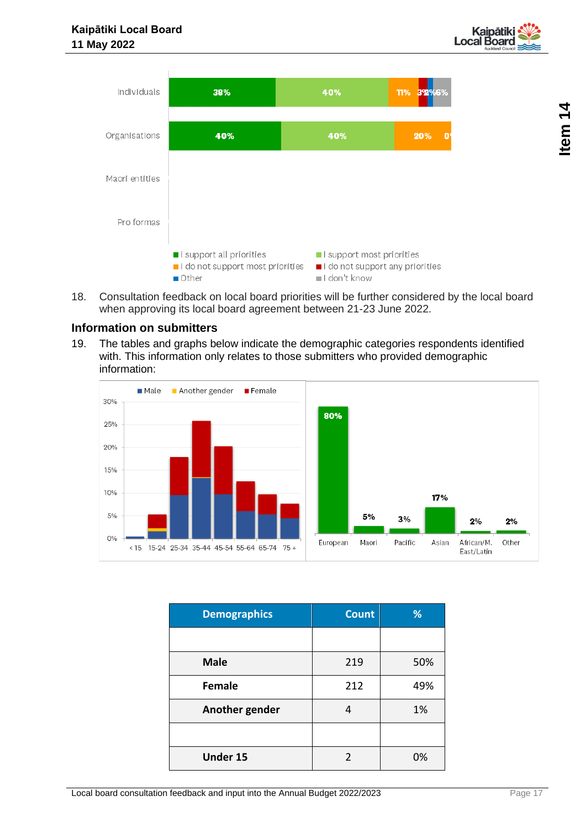



18. Consultation feedback on local board priorities will be further considered by the local board when approving its local board agreement between 21-23 June 2022.

#### **Information on submitters**

19. The tables and graphs below indicate the demographic categories respondents identified with. This information only relates to those submitters who provided demographic information:



| <b>Demographics</b> | <b>Count</b> | %   |
|---------------------|--------------|-----|
|                     |              |     |
| <b>Male</b>         | 219          | 50% |
| <b>Female</b>       | 212          | 49% |
| Another gender      | 4            | 1%  |
|                     |              |     |
| <b>Under 15</b>     | 2            | 0%  |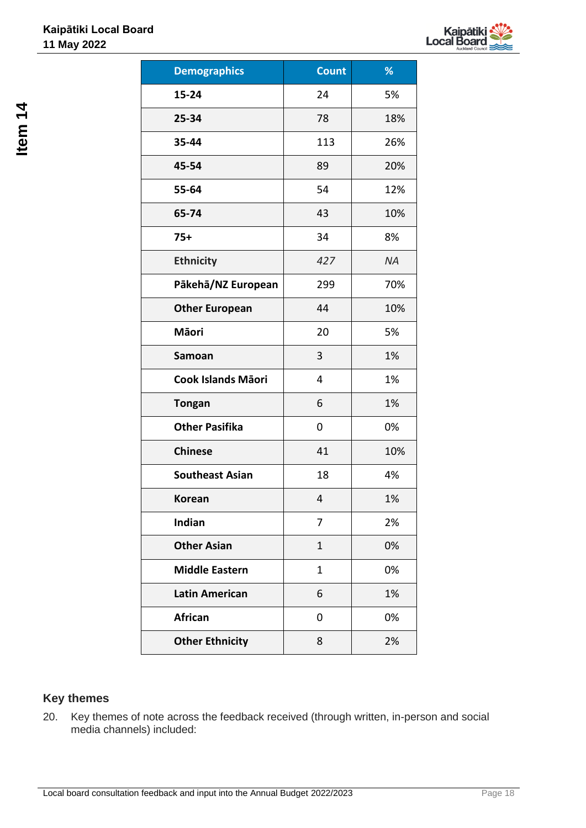

| <b>Demographics</b>    | <b>Count</b> | %         |
|------------------------|--------------|-----------|
| 15-24                  | 24           | 5%        |
| 25-34                  | 78           | 18%       |
| 35-44                  | 113          | 26%       |
| 45-54                  | 89           | 20%       |
| 55-64                  | 54           | 12%       |
| 65-74                  | 43           | 10%       |
| $75+$                  | 34           | 8%        |
| <b>Ethnicity</b>       | 427          | <b>NA</b> |
| Pākehā/NZ European     | 299          | 70%       |
| <b>Other European</b>  | 44           | 10%       |
| <b>Māori</b>           | 20           | 5%        |
| Samoan                 | 3            | 1%        |
| Cook Islands Māori     | 4            | 1%        |
| <b>Tongan</b>          | 6            | 1%        |
| <b>Other Pasifika</b>  | 0            | 0%        |
| <b>Chinese</b>         | 41           | 10%       |
| <b>Southeast Asian</b> | 18           | 4%        |
| <b>Korean</b>          | 4            | 1%        |
| Indian                 | 7            | 2%        |
| <b>Other Asian</b>     | $\mathbf{1}$ | 0%        |
| <b>Middle Eastern</b>  | 1            | 0%        |
| <b>Latin American</b>  | 6            | 1%        |
| African                | 0            | 0%        |
| <b>Other Ethnicity</b> | 8            | 2%        |

### **Key themes**

20. Key themes of note across the feedback received (through written, in-person and social media channels) included: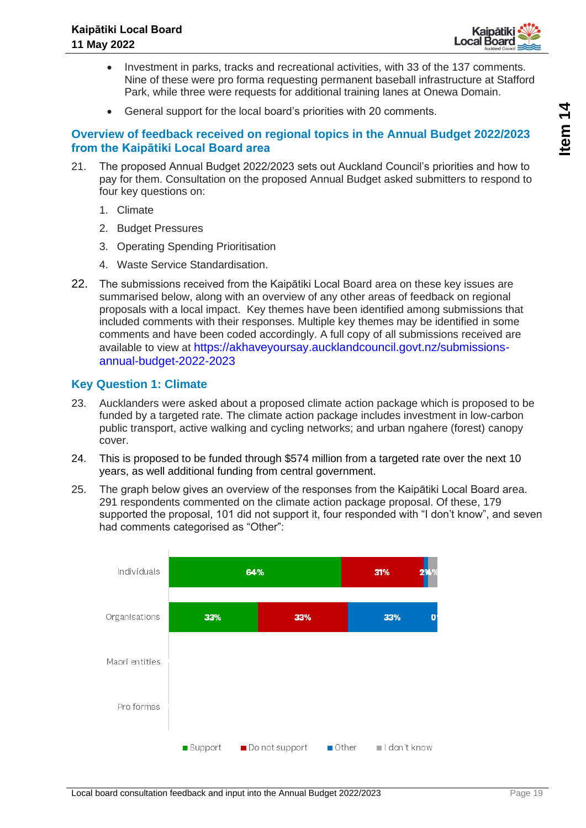

- Investment in parks, tracks and recreational activities, with 33 of the 137 comments. Nine of these were pro forma requesting permanent baseball infrastructure at Stafford Park, while three were requests for additional training lanes at Onewa Domain.
- General support for the local board's priorities with 20 comments.

#### **Overview of feedback received on regional topics in the Annual Budget 2022/2023 from the Kaipātiki Local Board area**

- 21. The proposed Annual Budget 2022/2023 sets out Auckland Council's priorities and how to pay for them. Consultation on the proposed Annual Budget asked submitters to respond to four key questions on:
	- 1. Climate
	- 2. Budget Pressures
	- 3. Operating Spending Prioritisation
	- 4. Waste Service Standardisation.
- 22. The submissions received from the Kaipātiki Local Board area on these key issues are summarised below, along with an overview of any other areas of feedback on regional proposals with a local impact. Key themes have been identified among submissions that included comments with their responses. Multiple key themes may be identified in some comments and have been coded accordingly. A full copy of all submissions received are available to view at https://akhaveyoursay.aucklandcouncil.govt.nz/submissionsannual-budget-2022-2023

#### **Key Question 1: Climate**

- 23. Aucklanders were asked about a proposed climate action package which is proposed to be funded by a targeted rate. The climate action package includes investment in low-carbon public transport, active walking and cycling networks; and urban ngahere (forest) canopy cover.
- 24. This is proposed to be funded through \$574 million from a targeted rate over the next 10 years, as well additional funding from central government.
- 25. The graph below gives an overview of the responses from the Kaipātiki Local Board area. 291 respondents commented on the climate action package proposal. Of these, 179 supported the proposal, 101 did not support it, four responded with "I don't know", and seven had comments categorised as "Other":

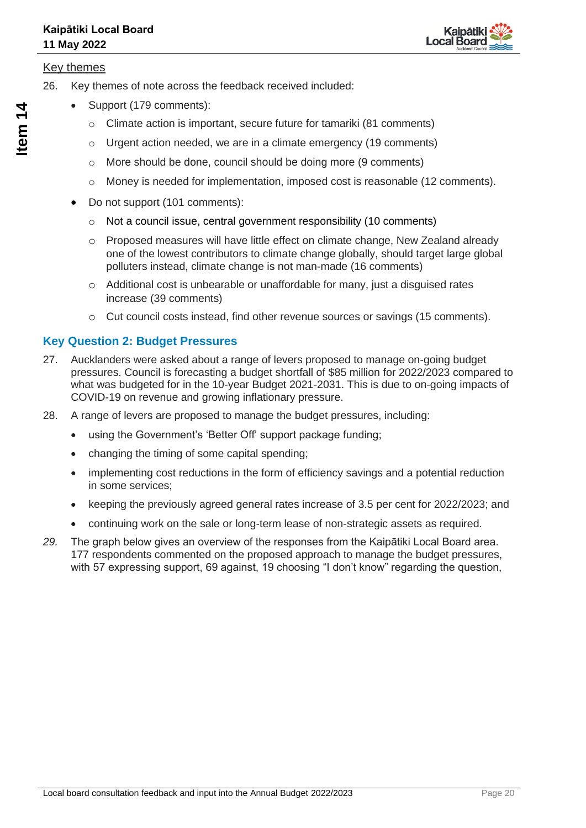

#### Key themes

- 26. Key themes of note across the feedback received included:
	- Support (179 comments):
		- $\circ$  Climate action is important, secure future for tamariki (81 comments)
		- $\circ$  Urgent action needed, we are in a climate emergency (19 comments)
		- o More should be done, council should be doing more (9 comments)
		- $\circ$  Money is needed for implementation, imposed cost is reasonable (12 comments).
		- Do not support (101 comments):
			- o Not a council issue, central government responsibility (10 comments)
			- o Proposed measures will have little effect on climate change, New Zealand already one of the lowest contributors to climate change globally, should target large global polluters instead, climate change is not man-made (16 comments)
			- o Additional cost is unbearable or unaffordable for many, just a disguised rates increase (39 comments)
			- o Cut council costs instead, find other revenue sources or savings (15 comments).

### **Key Question 2: Budget Pressures**

- 27. Aucklanders were asked about a range of levers proposed to manage on-going budget pressures. Council is forecasting a budget shortfall of \$85 million for 2022/2023 compared to what was budgeted for in the 10-year Budget 2021-2031. This is due to on-going impacts of COVID-19 on revenue and growing inflationary pressure.
- 28. A range of levers are proposed to manage the budget pressures, including:
	- using the Government's 'Better Off' support package funding;
	- changing the timing of some capital spending;
	- implementing cost reductions in the form of efficiency savings and a potential reduction in some services;
	- keeping the previously agreed general rates increase of 3.5 per cent for 2022/2023; and
	- continuing work on the sale or long-term lease of non-strategic assets as required.
- *29.* The graph below gives an overview of the responses from the Kaipātiki Local Board area. 177 respondents commented on the proposed approach to manage the budget pressures, with 57 expressing support, 69 against, 19 choosing "I don't know" regarding the question,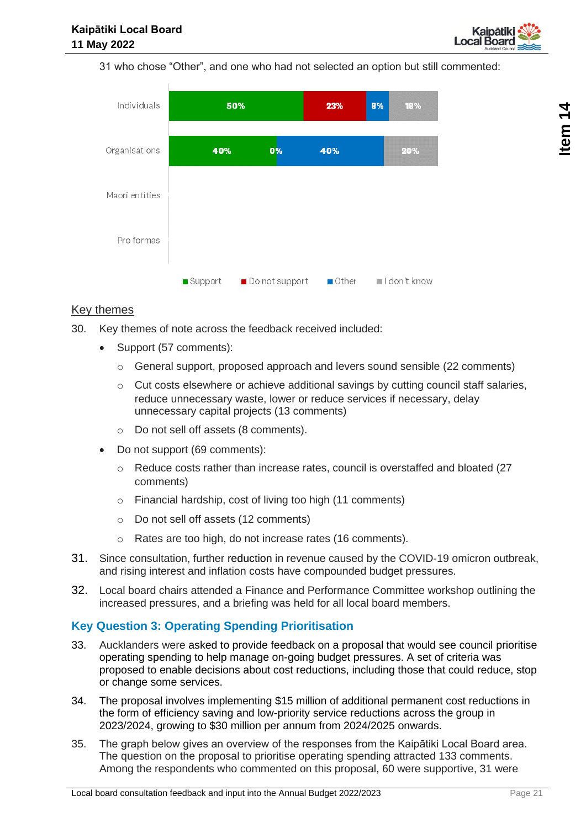

31 who chose "Other", and one who had not selected an option but still commented:



#### Key themes

- 30. Key themes of note across the feedback received included:
	- Support (57 comments):
		- $\circ$  General support, proposed approach and levers sound sensible (22 comments)
		- $\circ$  Cut costs elsewhere or achieve additional savings by cutting council staff salaries, reduce unnecessary waste, lower or reduce services if necessary, delay unnecessary capital projects (13 comments)
		- o Do not sell off assets (8 comments).
	- Do not support (69 comments):
		- $\circ$  Reduce costs rather than increase rates, council is overstaffed and bloated (27) comments)
		- o Financial hardship, cost of living too high (11 comments)
		- o Do not sell off assets (12 comments)
		- o Rates are too high, do not increase rates (16 comments).
- 31. Since consultation, further reduction in revenue caused by the COVID-19 omicron outbreak, and rising interest and inflation costs have compounded budget pressures.
- 32. Local board chairs attended a Finance and Performance Committee workshop outlining the increased pressures, and a briefing was held for all local board members.

#### **Key Question 3: Operating Spending Prioritisation**

- 33. Aucklanders were asked to provide feedback on a proposal that would see council prioritise operating spending to help manage on-going budget pressures. A set of criteria was proposed to enable decisions about cost reductions, including those that could reduce, stop or change some services.
- 34. The proposal involves implementing \$15 million of additional permanent cost reductions in the form of efficiency saving and low-priority service reductions across the group in 2023/2024, growing to \$30 million per annum from 2024/2025 onwards.
- 35. The graph below gives an overview of the responses from the Kaipātiki Local Board area. The question on the proposal to prioritise operating spending attracted 133 comments. Among the respondents who commented on this proposal, 60 were supportive, 31 were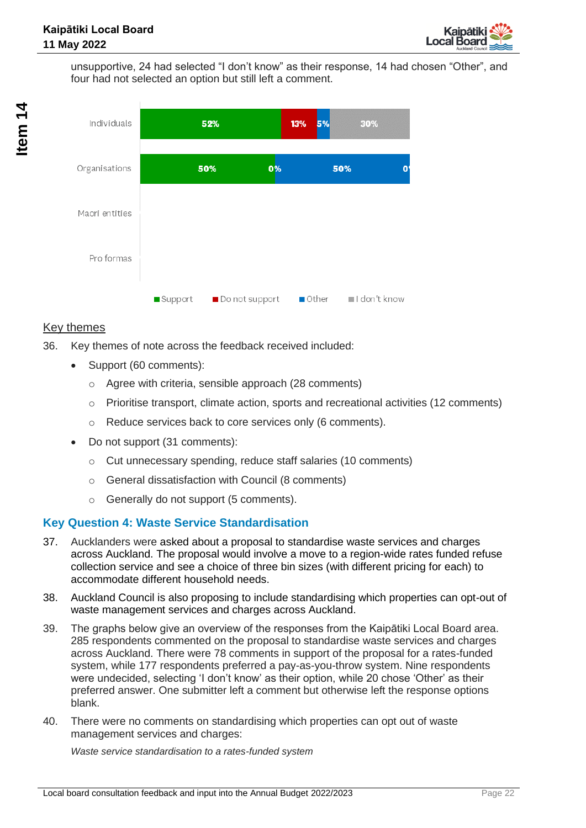

unsupportive, 24 had selected "I don't know" as their response, 14 had chosen "Other", and four had not selected an option but still left a comment.



### Key themes

- 36. Key themes of note across the feedback received included:
	- Support (60 comments):
		- o Agree with criteria, sensible approach (28 comments)
		- o Prioritise transport, climate action, sports and recreational activities (12 comments)
		- o Reduce services back to core services only (6 comments).
	- Do not support (31 comments):
		- o Cut unnecessary spending, reduce staff salaries (10 comments)
		- o General dissatisfaction with Council (8 comments)
		- o Generally do not support (5 comments).

#### **Key Question 4: Waste Service Standardisation**

- 37. Aucklanders were asked about a proposal to standardise waste services and charges across Auckland. The proposal would involve a move to a region-wide rates funded refuse collection service and see a choice of three bin sizes (with different pricing for each) to accommodate different household needs.
- 38. Auckland Council is also proposing to include standardising which properties can opt-out of waste management services and charges across Auckland.
- 39. The graphs below give an overview of the responses from the Kaipātiki Local Board area. 285 respondents commented on the proposal to standardise waste services and charges across Auckland. There were 78 comments in support of the proposal for a rates-funded system, while 177 respondents preferred a pay-as-you-throw system. Nine respondents were undecided, selecting 'I don't know' as their option, while 20 chose 'Other' as their preferred answer. One submitter left a comment but otherwise left the response options blank.
- 40. There were no comments on standardising which properties can opt out of waste management services and charges:

*Waste service standardisation to a rates-funded system*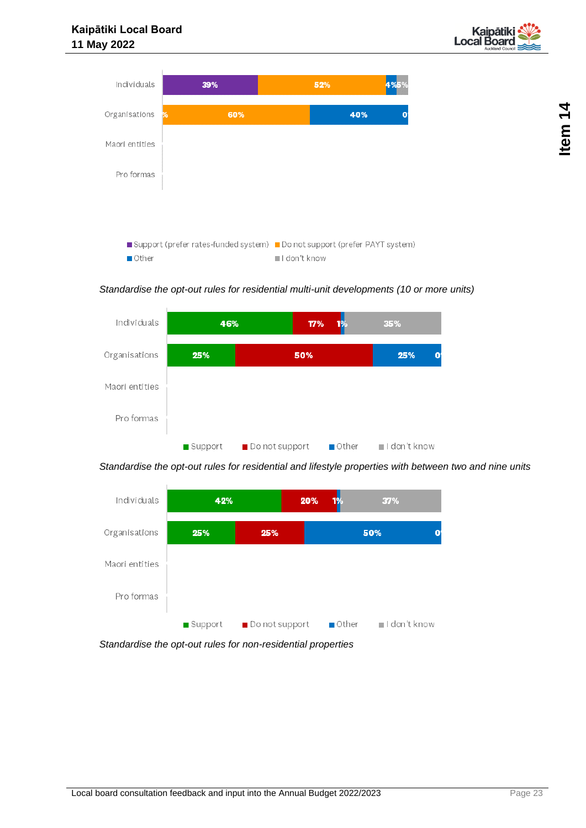



*Standardise the opt-out rules for residential multi-unit developments (10 or more units)*



*Standardise the opt-out rules for residential and lifestyle properties with between two and nine units*



*Standardise the opt-out rules for non-residential properties*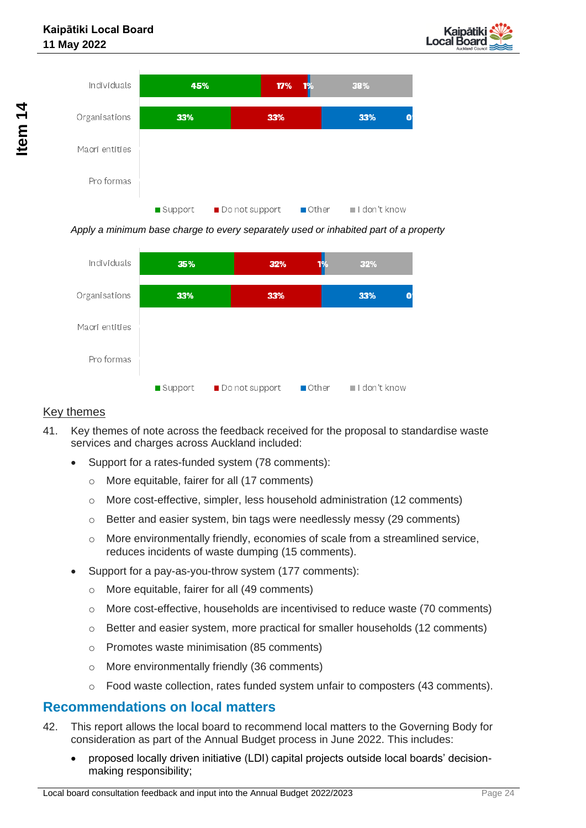



*Apply a minimum base charge to every separately used or inhabited part of a property*



#### Key themes

- 41. Key themes of note across the feedback received for the proposal to standardise waste services and charges across Auckland included:
	- Support for a rates-funded system (78 comments):
		- o More equitable, fairer for all (17 comments)
		- o More cost-effective, simpler, less household administration (12 comments)
		- $\circ$  Better and easier system, bin tags were needlessly messy (29 comments)
		- $\circ$  More environmentally friendly, economies of scale from a streamlined service, reduces incidents of waste dumping (15 comments).
	- Support for a pay-as-you-throw system (177 comments):
		- o More equitable, fairer for all (49 comments)
		- $\circ$  More cost-effective, households are incentivised to reduce waste (70 comments)
		- o Better and easier system, more practical for smaller households (12 comments)
		- o Promotes waste minimisation (85 comments)
		- o More environmentally friendly (36 comments)
		- $\circ$  Food waste collection, rates funded system unfair to composters (43 comments).

#### **Recommendations on local matters**

- 42. This report allows the local board to recommend local matters to the Governing Body for consideration as part of the Annual Budget process in June 2022. This includes:
	- proposed locally driven initiative (LDI) capital projects outside local boards' decisionmaking responsibility;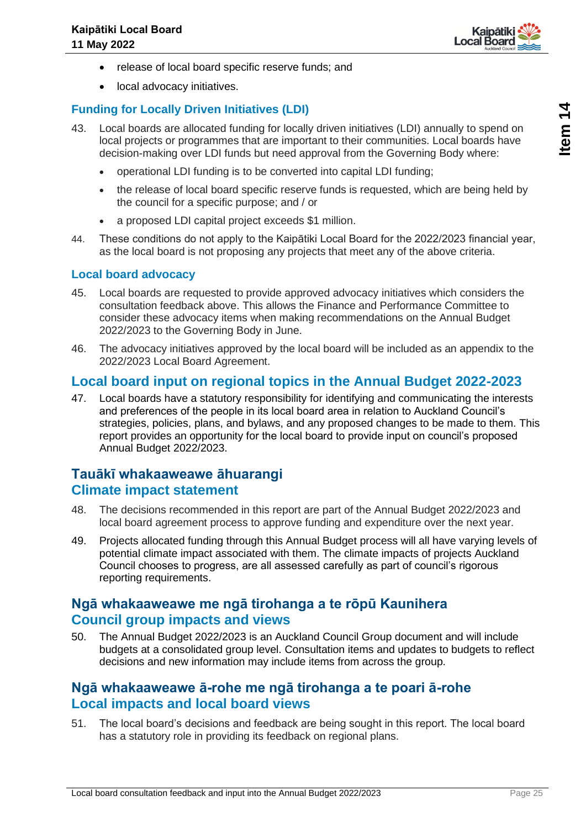

- release of local board specific reserve funds; and
- local advocacy initiatives.

### **Funding for Locally Driven Initiatives (LDI)**

- 43. Local boards are allocated funding for locally driven initiatives (LDI) annually to spend on local projects or programmes that are important to their communities. Local boards have decision-making over LDI funds but need approval from the Governing Body where:
	- operational LDI funding is to be converted into capital LDI funding;
	- the release of local board specific reserve funds is requested, which are being held by the council for a specific purpose; and / or
	- a proposed LDI capital project exceeds \$1 million.
- 44. These conditions do not apply to the Kaipātiki Local Board for the 2022/2023 financial year, as the local board is not proposing any projects that meet any of the above criteria.

#### **Local board advocacy**

- 45. Local boards are requested to provide approved advocacy initiatives which considers the consultation feedback above. This allows the Finance and Performance Committee to consider these advocacy items when making recommendations on the Annual Budget 2022/2023 to the Governing Body in June.
- 46. The advocacy initiatives approved by the local board will be included as an appendix to the 2022/2023 Local Board Agreement.

### **Local board input on regional topics in the Annual Budget 2022-2023**

47. Local boards have a statutory responsibility for identifying and communicating the interests and preferences of the people in its local board area in relation to Auckland Council's strategies, policies, plans, and bylaws, and any proposed changes to be made to them. This report provides an opportunity for the local board to provide input on council's proposed Annual Budget 2022/2023.

### **Tauākī whakaaweawe āhuarangi Climate impact statement**

- 48. The decisions recommended in this report are part of the Annual Budget 2022/2023 and local board agreement process to approve funding and expenditure over the next year.
- 49. Projects allocated funding through this Annual Budget process will all have varying levels of potential climate impact associated with them. The climate impacts of projects Auckland Council chooses to progress, are all assessed carefully as part of council's rigorous reporting requirements.

### **Ngā whakaaweawe me ngā tirohanga a te rōpū Kaunihera Council group impacts and views**

50. The Annual Budget 2022/2023 is an Auckland Council Group document and will include budgets at a consolidated group level. Consultation items and updates to budgets to reflect decisions and new information may include items from across the group.

### **Ngā whakaaweawe ā-rohe me ngā tirohanga a te poari ā-rohe Local impacts and local board views**

51. The local board's decisions and feedback are being sought in this report. The local board has a statutory role in providing its feedback on regional plans.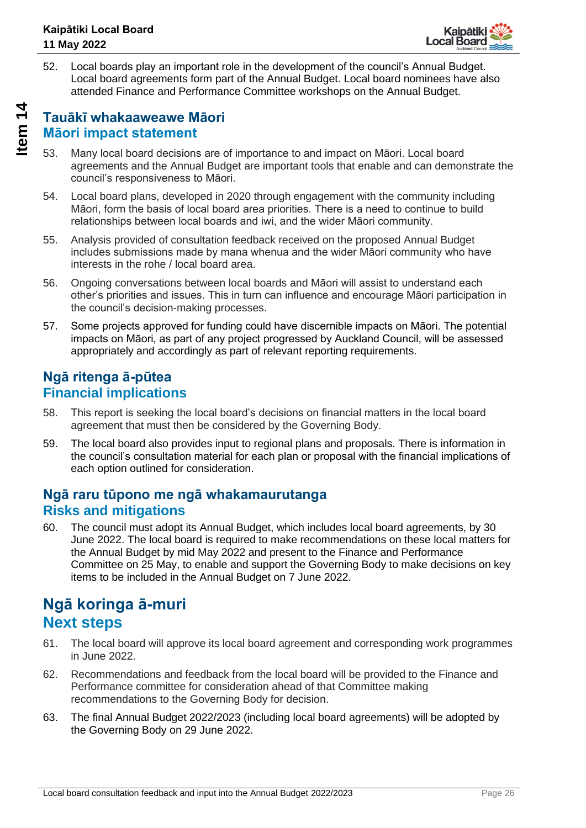

52. Local boards play an important role in the development of the council's Annual Budget. Local board agreements form part of the Annual Budget. Local board nominees have also attended Finance and Performance Committee workshops on the Annual Budget.

### **Tauākī whakaaweawe Māori Māori impact statement**

- 53. Many local board decisions are of importance to and impact on Māori. Local board agreements and the Annual Budget are important tools that enable and can demonstrate the council's responsiveness to Māori.
- 54. Local board plans, developed in 2020 through engagement with the community including Māori, form the basis of local board area priorities. There is a need to continue to build relationships between local boards and iwi, and the wider Māori community.
- 55. Analysis provided of consultation feedback received on the proposed Annual Budget includes submissions made by mana whenua and the wider Māori community who have interests in the rohe / local board area.
- 56. Ongoing conversations between local boards and Māori will assist to understand each other's priorities and issues. This in turn can influence and encourage Māori participation in the council's decision-making processes.
- 57. Some projects approved for funding could have discernible impacts on Māori. The potential impacts on Māori, as part of any project progressed by Auckland Council, will be assessed appropriately and accordingly as part of relevant reporting requirements.

### **Ngā ritenga ā-pūtea Financial implications**

- 58. This report is seeking the local board's decisions on financial matters in the local board agreement that must then be considered by the Governing Body.
- 59. The local board also provides input to regional plans and proposals. There is information in the council's consultation material for each plan or proposal with the financial implications of each option outlined for consideration.

### **Ngā raru tūpono me ngā whakamaurutanga Risks and mitigations**

60. The council must adopt its Annual Budget, which includes local board agreements, by 30 June 2022. The local board is required to make recommendations on these local matters for the Annual Budget by mid May 2022 and present to the Finance and Performance Committee on 25 May, to enable and support the Governing Body to make decisions on key items to be included in the Annual Budget on 7 June 2022.

### **Ngā koringa ā-muri Next steps**

- 61. The local board will approve its local board agreement and corresponding work programmes in June 2022.
- 62. Recommendations and feedback from the local board will be provided to the Finance and Performance committee for consideration ahead of that Committee making recommendations to the Governing Body for decision.
- 63. The final Annual Budget 2022/2023 (including local board agreements) will be adopted by the Governing Body on 29 June 2022.